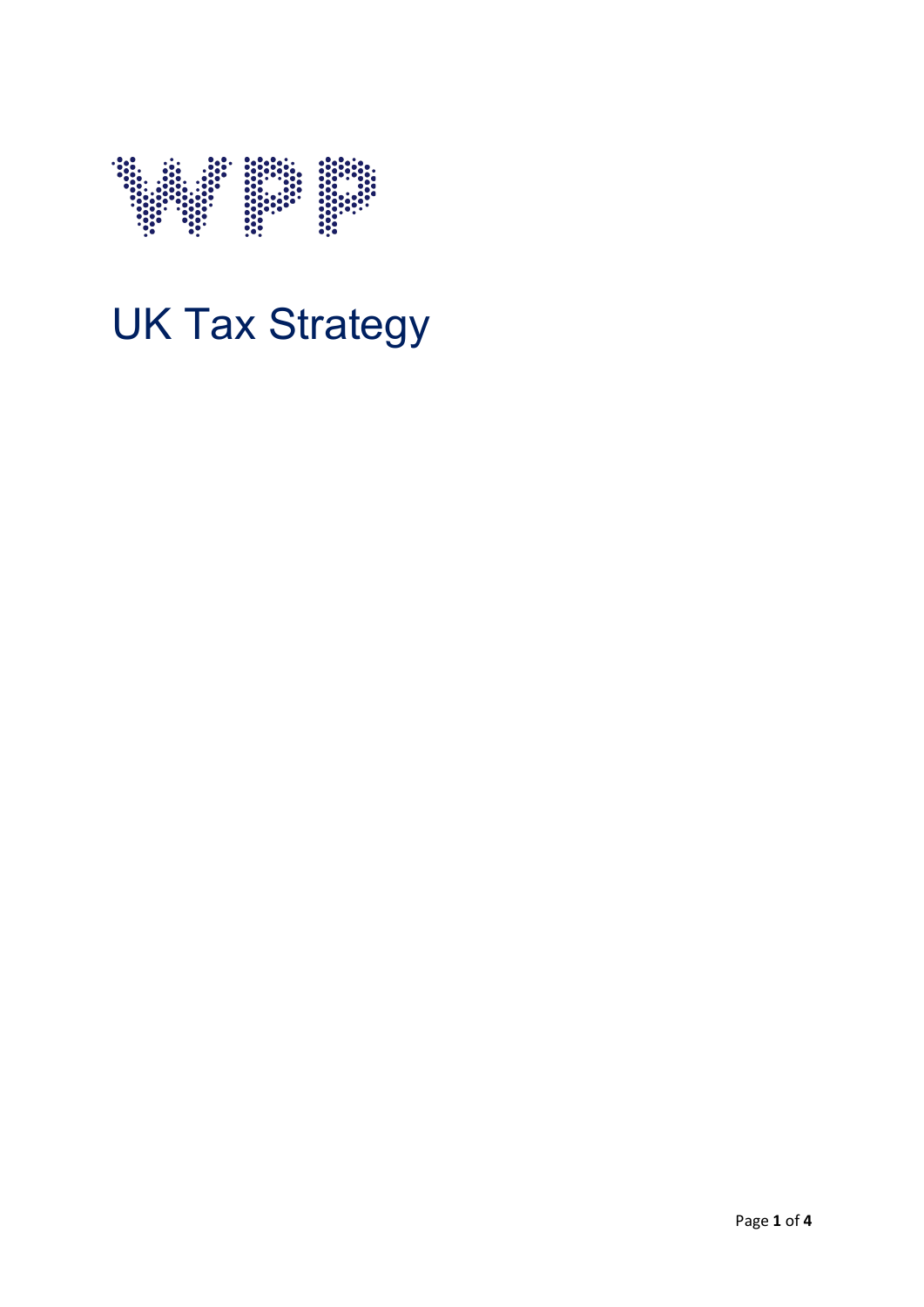

# UK Tax Strategy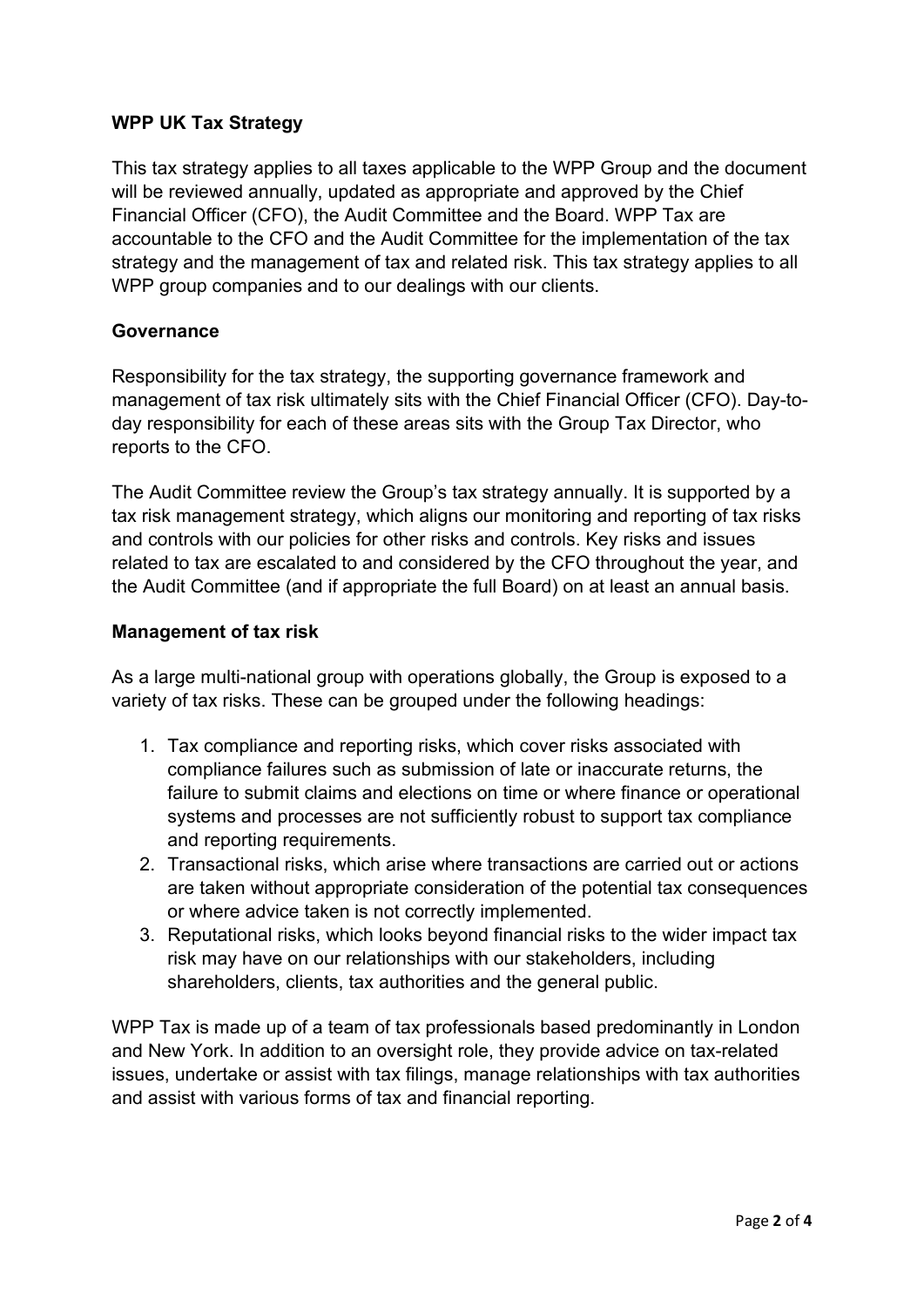## **WPP UK Tax Strategy**

This tax strategy applies to all taxes applicable to the WPP Group and the document will be reviewed annually, updated as appropriate and approved by the Chief Financial Officer (CFO), the Audit Committee and the Board. WPP Tax are accountable to the CFO and the Audit Committee for the implementation of the tax strategy and the management of tax and related risk. This tax strategy applies to all WPP group companies and to our dealings with our clients.

#### **Governance**

Responsibility for the tax strategy, the supporting governance framework and management of tax risk ultimately sits with the Chief Financial Officer (CFO). Day-today responsibility for each of these areas sits with the Group Tax Director, who reports to the CFO.

The Audit Committee review the Group's tax strategy annually. It is supported by a tax risk management strategy, which aligns our monitoring and reporting of tax risks and controls with our policies for other risks and controls. Key risks and issues related to tax are escalated to and considered by the CFO throughout the year, and the Audit Committee (and if appropriate the full Board) on at least an annual basis.

## **Management of tax risk**

As a large multi-national group with operations globally, the Group is exposed to a variety of tax risks. These can be grouped under the following headings:

- 1. Tax compliance and reporting risks, which cover risks associated with compliance failures such as submission of late or inaccurate returns, the failure to submit claims and elections on time or where finance or operational systems and processes are not sufficiently robust to support tax compliance and reporting requirements.
- 2. Transactional risks, which arise where transactions are carried out or actions are taken without appropriate consideration of the potential tax consequences or where advice taken is not correctly implemented.
- 3. Reputational risks, which looks beyond financial risks to the wider impact tax risk may have on our relationships with our stakeholders, including shareholders, clients, tax authorities and the general public.

WPP Tax is made up of a team of tax professionals based predominantly in London and New York. In addition to an oversight role, they provide advice on tax-related issues, undertake or assist with tax filings, manage relationships with tax authorities and assist with various forms of tax and financial reporting.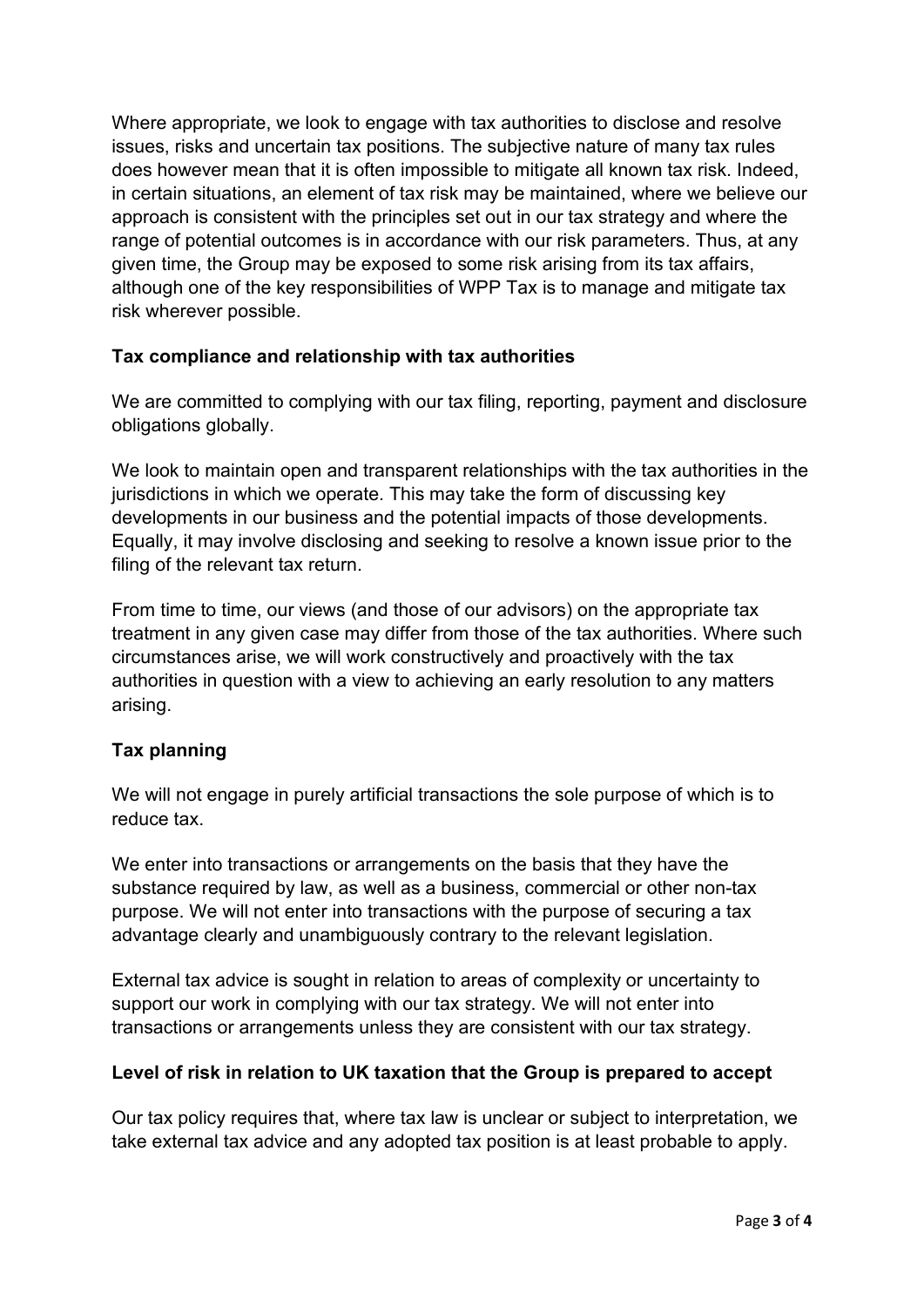Where appropriate, we look to engage with tax authorities to disclose and resolve issues, risks and uncertain tax positions. The subjective nature of many tax rules does however mean that it is often impossible to mitigate all known tax risk. Indeed, in certain situations, an element of tax risk may be maintained, where we believe our approach is consistent with the principles set out in our tax strategy and where the range of potential outcomes is in accordance with our risk parameters. Thus, at any given time, the Group may be exposed to some risk arising from its tax affairs, although one of the key responsibilities of WPP Tax is to manage and mitigate tax risk wherever possible.

## **Tax compliance and relationship with tax authorities**

We are committed to complying with our tax filing, reporting, payment and disclosure obligations globally.

We look to maintain open and transparent relationships with the tax authorities in the jurisdictions in which we operate. This may take the form of discussing key developments in our business and the potential impacts of those developments. Equally, it may involve disclosing and seeking to resolve a known issue prior to the filing of the relevant tax return.

From time to time, our views (and those of our advisors) on the appropriate tax treatment in any given case may differ from those of the tax authorities. Where such circumstances arise, we will work constructively and proactively with the tax authorities in question with a view to achieving an early resolution to any matters arising.

## **Tax planning**

We will not engage in purely artificial transactions the sole purpose of which is to reduce tax.

We enter into transactions or arrangements on the basis that they have the substance required by law, as well as a business, commercial or other non-tax purpose. We will not enter into transactions with the purpose of securing a tax advantage clearly and unambiguously contrary to the relevant legislation.

External tax advice is sought in relation to areas of complexity or uncertainty to support our work in complying with our tax strategy. We will not enter into transactions or arrangements unless they are consistent with our tax strategy.

#### **Level of risk in relation to UK taxation that the Group is prepared to accept**

Our tax policy requires that, where tax law is unclear or subject to interpretation, we take external tax advice and any adopted tax position is at least probable to apply.